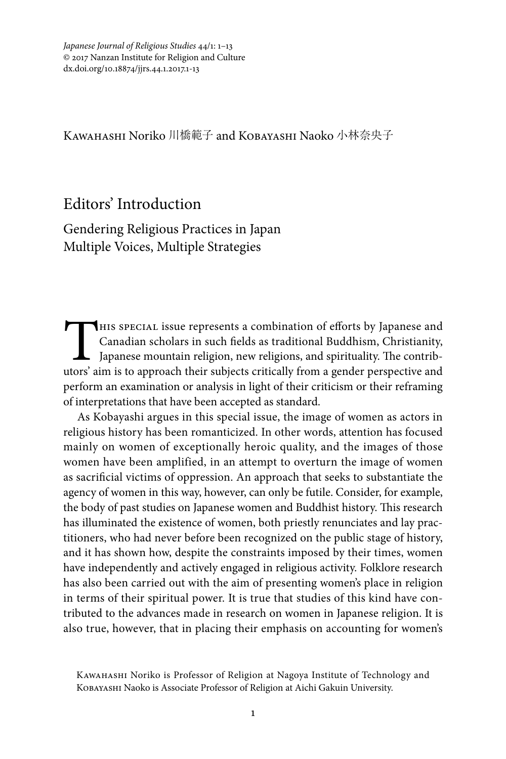Kawahashi Noriko 川橋範子 and Kobayashi Naoko 小林奈央子

## Editors' Introduction

Gendering Religious Practices in Japan Multiple Voices, Multiple Strategies

This special issue represents a combination of efforts by Japanese and Canadian scholars in such fields as traditional Buddhism, Christianity, Japanese mountain religion, new religions, and spirituality. The contributors' Canadian scholars in such fields as traditional Buddhism, Christianity, Japanese mountain religion, new religions, and spirituality. The contributors' aim is to approach their subjects critically from a gender perspective and perform an examination or analysis in light of their criticism or their reframing of interpretations that have been accepted as standard.

As Kobayashi argues in this special issue, the image of women as actors in religious history has been romanticized. In other words, attention has focused mainly on women of exceptionally heroic quality, and the images of those women have been amplified, in an attempt to overturn the image of women as sacrificial victims of oppression. An approach that seeks to substantiate the agency of women in this way, however, can only be futile. Consider, for example, the body of past studies on Japanese women and Buddhist history. This research has illuminated the existence of women, both priestly renunciates and lay practitioners, who had never before been recognized on the public stage of history, and it has shown how, despite the constraints imposed by their times, women have independently and actively engaged in religious activity. Folklore research has also been carried out with the aim of presenting women's place in religion in terms of their spiritual power. It is true that studies of this kind have contributed to the advances made in research on women in Japanese religion. It is also true, however, that in placing their emphasis on accounting for women's

Kawahashi Noriko is Professor of Religion at Nagoya Institute of Technology and Kobayashi Naoko is Associate Professor of Religion at Aichi Gakuin University.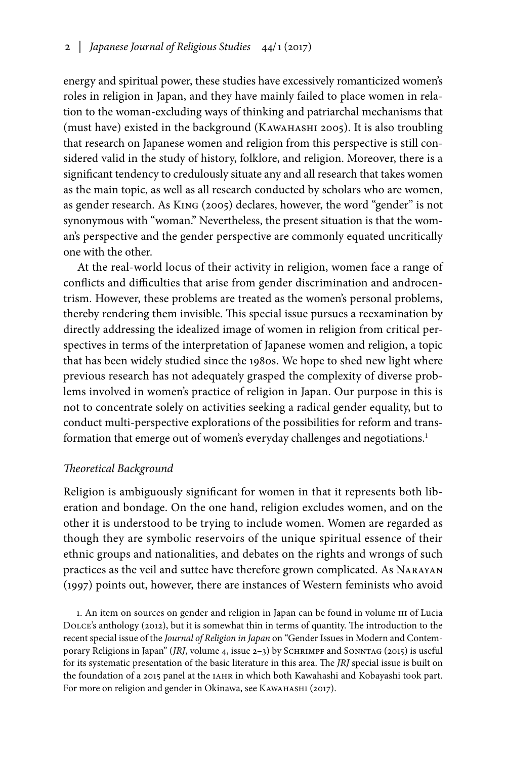energy and spiritual power, these studies have excessively romanticized women's roles in religion in Japan, and they have mainly failed to place women in relation to the woman-excluding ways of thinking and patriarchal mechanisms that (must have) existed in the background (Kawahashi 2005). It is also troubling that research on Japanese women and religion from this perspective is still considered valid in the study of history, folklore, and religion. Moreover, there is a significant tendency to credulously situate any and all research that takes women as the main topic, as well as all research conducted by scholars who are women, as gender research. As King (2005) declares, however, the word "gender" is not synonymous with "woman." Nevertheless, the present situation is that the woman's perspective and the gender perspective are commonly equated uncritically one with the other.

At the real-world locus of their activity in religion, women face a range of conflicts and difficulties that arise from gender discrimination and androcentrism. However, these problems are treated as the women's personal problems, thereby rendering them invisible. This special issue pursues a reexamination by directly addressing the idealized image of women in religion from critical perspectives in terms of the interpretation of Japanese women and religion, a topic that has been widely studied since the 1980s. We hope to shed new light where previous research has not adequately grasped the complexity of diverse problems involved in women's practice of religion in Japan. Our purpose in this is not to concentrate solely on activities seeking a radical gender equality, but to conduct multi-perspective explorations of the possibilities for reform and transformation that emerge out of women's everyday challenges and negotiations.<sup>1</sup>

#### *Theoretical Background*

Religion is ambiguously significant for women in that it represents both liberation and bondage. On the one hand, religion excludes women, and on the other it is understood to be trying to include women. Women are regarded as though they are symbolic reservoirs of the unique spiritual essence of their ethnic groups and nationalities, and debates on the rights and wrongs of such practices as the veil and suttee have therefore grown complicated. As Narayan (1997) points out, however, there are instances of Western feminists who avoid

1. An item on sources on gender and religion in Japan can be found in volume III of Lucia Dolce's anthology (2012), but it is somewhat thin in terms of quantity. The introduction to the recent special issue of the *Journal of Religion in Japan* on "Gender Issues in Modern and Contemporary Religions in Japan" (*JRJ*, volume 4, issue 2-3) by SCHRIMPF and SONNTAG (2015) is useful for its systematic presentation of the basic literature in this area. The *JRJ* special issue is built on the foundation of a 2015 panel at the IАНR in which both Kawahashi and Kobayashi took part. For more on religion and gender in Okinawa, see KAWAHASHI (2017).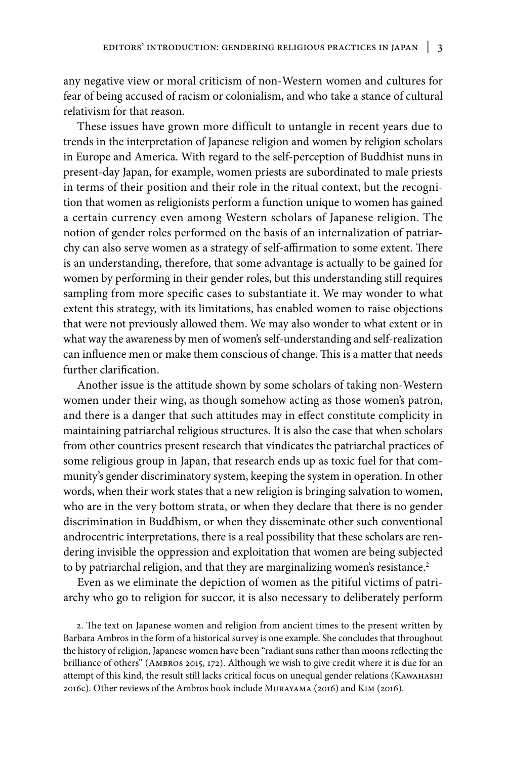any negative view or moral criticism of non-Western women and cultures for fear of being accused of racism or colonialism, and who take a stance of cultural relativism for that reason.

These issues have grown more difficult to untangle in recent years due to trends in the interpretation of Japanese religion and women by religion scholars in Europe and America. With regard to the self-perception of Buddhist nuns in present-day Japan, for example, women priests are subordinated to male priests in terms of their position and their role in the ritual context, but the recognition that women as religionists perform a function unique to women has gained a certain currency even among Western scholars of Japanese religion. The notion of gender roles performed on the basis of an internalization of patriarchy can also serve women as a strategy of self-affirmation to some extent. There is an understanding, therefore, that some advantage is actually to be gained for women by performing in their gender roles, but this understanding still requires sampling from more specific cases to substantiate it. We may wonder to what extent this strategy, with its limitations, has enabled women to raise objections that were not previously allowed them. We may also wonder to what extent or in what way the awareness by men of women's self-understanding and self-realization can influence men or make them conscious of change. This is a matter that needs further clarification.

Another issue is the attitude shown by some scholars of taking non-Western women under their wing, as though somehow acting as those women's patron, and there is a danger that such attitudes may in effect constitute complicity in maintaining patriarchal religious structures. It is also the case that when scholars from other countries present research that vindicates the patriarchal practices of some religious group in Japan, that research ends up as toxic fuel for that community's gender discriminatory system, keeping the system in operation. In other words, when their work states that a new religion is bringing salvation to women, who are in the very bottom strata, or when they declare that there is no gender discrimination in Buddhism, or when they disseminate other such conventional androcentric interpretations, there is a real possibility that these scholars are rendering invisible the oppression and exploitation that women are being subjected to by patriarchal religion, and that they are marginalizing women's resistance.<sup>2</sup>

Even as we eliminate the depiction of women as the pitiful victims of patriarchy who go to religion for succor, it is also necessary to deliberately perform

2. The text on Japanese women and religion from ancient times to the present written by Barbara Ambros in the form of a historical survey is one example. She concludes that throughout the history of religion, Japanese women have been "radiant suns rather than moons reflecting the brilliance of others" (Ambros 2015, 172). Although we wish to give credit where it is due for an attempt of this kind, the result still lacks critical focus on unequal gender relations (Kawahashi 2016c). Other reviews of the Ambros book include Murayama (2016) and Kim (2016).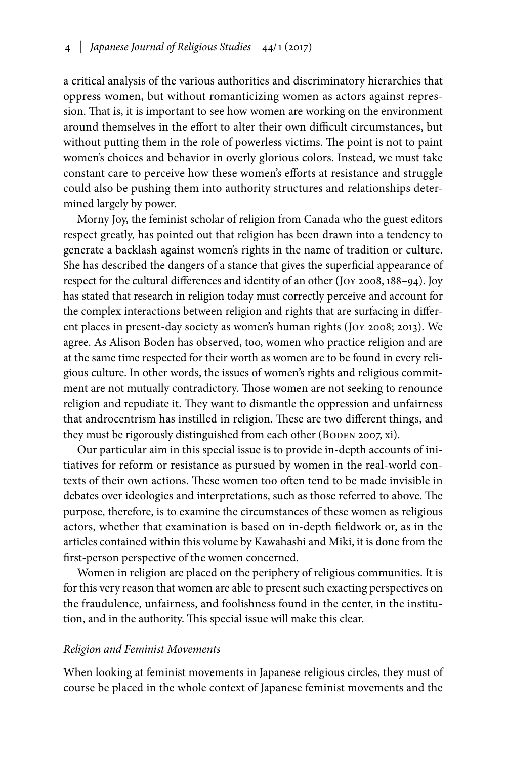a critical analysis of the various authorities and discriminatory hierarchies that oppress women, but without romanticizing women as actors against repression. That is, it is important to see how women are working on the environment around themselves in the effort to alter their own difficult circumstances, but without putting them in the role of powerless victims. The point is not to paint women's choices and behavior in overly glorious colors. Instead, we must take constant care to perceive how these women's efforts at resistance and struggle could also be pushing them into authority structures and relationships determined largely by power.

Morny Joy, the feminist scholar of religion from Canada who the guest editors respect greatly, has pointed out that religion has been drawn into a tendency to generate a backlash against women's rights in the name of tradition or culture. She has described the dangers of a stance that gives the superficial appearance of respect for the cultural differences and identity of an other (Joy 2008, 188–94). Joy has stated that research in religion today must correctly perceive and account for the complex interactions between religion and rights that are surfacing in different places in present-day society as women's human rights (Joy 2008; 2013). We agree. As Alison Boden has observed, too, women who practice religion and are at the same time respected for their worth as women are to be found in every religious culture. In other words, the issues of women's rights and religious commitment are not mutually contradictory. Those women are not seeking to renounce religion and repudiate it. They want to dismantle the oppression and unfairness that androcentrism has instilled in religion. These are two different things, and they must be rigorously distinguished from each other (BODEN 2007, xi).

Our particular aim in this special issue is to provide in-depth accounts of initiatives for reform or resistance as pursued by women in the real-world contexts of their own actions. These women too often tend to be made invisible in debates over ideologies and interpretations, such as those referred to above. The purpose, therefore, is to examine the circumstances of these women as religious actors, whether that examination is based on in-depth fieldwork or, as in the articles contained within this volume by Kawahashi and Miki, it is done from the first-person perspective of the women concerned.

Women in religion are placed on the periphery of religious communities. It is for this very reason that women are able to present such exacting perspectives on the fraudulence, unfairness, and foolishness found in the center, in the institution, and in the authority. This special issue will make this clear.

#### *Religion and Feminist Movements*

When looking at feminist movements in Japanese religious circles, they must of course be placed in the whole context of Japanese feminist movements and the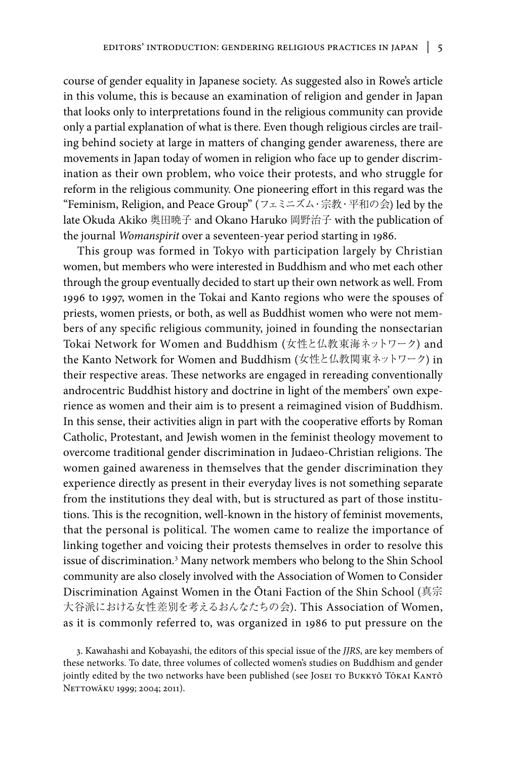course of gender equality in Japanese society. As suggested also in Rowe's article in this volume, this is because an examination of religion and gender in Japan that looks only to interpretations found in the religious community can provide only a partial explanation of what is there. Even though religious circles are trailing behind society at large in matters of changing gender awareness, there are movements in Japan today of women in religion who face up to gender discrimination as their own problem, who voice their protests, and who struggle for reform in the religious community. One pioneering effort in this regard was the "Feminism, Religion, and Peace Group" (フェミニズム・宗教・平和の会) led by the late Okuda Akiko 奥田暁子 and Okano Haruko 岡野治子 with the publication of the journal *Womanspirit* over a seventeen-year period starting in 1986.

This group was formed in Tokyo with participation largely by Christian women, but members who were interested in Buddhism and who met each other through the group eventually decided to start up their own network as well. From 1996 to 1997, women in the Tokai and Kanto regions who were the spouses of priests, women priests, or both, as well as Buddhist women who were not members of any specific religious community, joined in founding the nonsectarian Tokai Network for Women and Buddhism (女性と仏教東海ネットワーク) and the Kanto Network for Women and Buddhism (女性と仏教関東ネットワーク) in their respective areas. These networks are engaged in rereading conventionally androcentric Buddhist history and doctrine in light of the members' own experience as women and their aim is to present a reimagined vision of Buddhism. In this sense, their activities align in part with the cooperative efforts by Roman Catholic, Protestant, and Jewish women in the feminist theology movement to overcome traditional gender discrimination in Judaeo-Christian religions. The women gained awareness in themselves that the gender discrimination they experience directly as present in their everyday lives is not something separate from the institutions they deal with, but is structured as part of those institutions. This is the recognition, well-known in the history of feminist movements, that the personal is political. The women came to realize the importance of linking together and voicing their protests themselves in order to resolve this issue of discrimination.<sup>3</sup> Many network members who belong to the Shin School community are also closely involved with the Association of Women to Consider Discrimination Against Women in the Ōtani Faction of the Shin School (真宗 大谷派における女性差別を考えるおんなたちの会). This Association of Women, as it is commonly referred to, was organized in 1986 to put pressure on the

3. Kawahashi and Kobayashi, the editors of this special issue of the *JJRS*, are key members of these networks. To date, three volumes of collected women's studies on Buddhism and gender jointly edited by the two networks have been published (see JOSEI TO BUKKYŌ TŌKAI KANTŌ NETTOWĀKU 1999; 2004; 2011).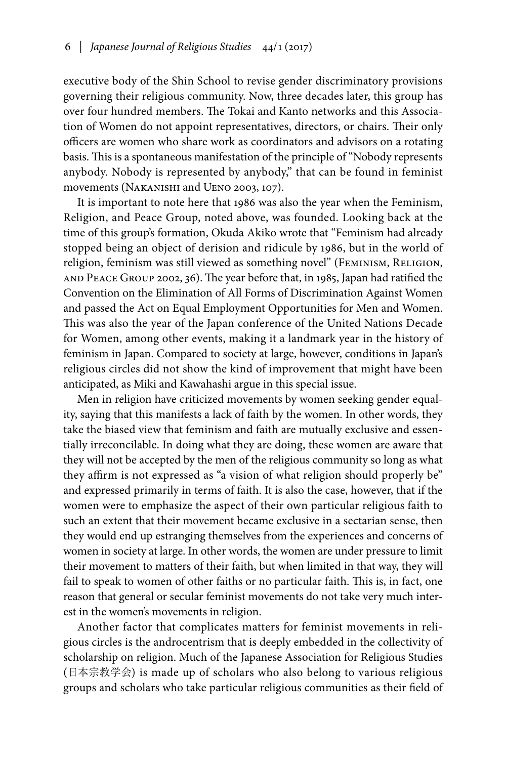executive body of the Shin School to revise gender discriminatory provisions governing their religious community. Now, three decades later, this group has over four hundred members. The Tokai and Kanto networks and this Association of Women do not appoint representatives, directors, or chairs. Their only officers are women who share work as coordinators and advisors on a rotating basis. This is a spontaneous manifestation of the principle of "Nobody represents anybody. Nobody is represented by anybody," that can be found in feminist movements (Nakanishi and Ueno 2003, 107).

It is important to note here that 1986 was also the year when the Feminism, Religion, and Peace Group, noted above, was founded. Looking back at the time of this group's formation, Okuda Akiko wrote that "Feminism had already stopped being an object of derision and ridicule by 1986, but in the world of religion, feminism was still viewed as something novel" (FEMINISM, RELIGION, and Peace Group 2002, 36). The year before that, in 1985, Japan had ratified the Convention on the Elimination of All Forms of Discrimination Against Women and passed the Act on Equal Employment Opportunities for Men and Women. This was also the year of the Japan conference of the United Nations Decade for Women, among other events, making it a landmark year in the history of feminism in Japan. Compared to society at large, however, conditions in Japan's religious circles did not show the kind of improvement that might have been anticipated, as Miki and Kawahashi argue in this special issue.

Men in religion have criticized movements by women seeking gender equality, saying that this manifests a lack of faith by the women. In other words, they take the biased view that feminism and faith are mutually exclusive and essentially irreconcilable. In doing what they are doing, these women are aware that they will not be accepted by the men of the religious community so long as what they affirm is not expressed as "a vision of what religion should properly be" and expressed primarily in terms of faith. It is also the case, however, that if the women were to emphasize the aspect of their own particular religious faith to such an extent that their movement became exclusive in a sectarian sense, then they would end up estranging themselves from the experiences and concerns of women in society at large. In other words, the women are under pressure to limit their movement to matters of their faith, but when limited in that way, they will fail to speak to women of other faiths or no particular faith. This is, in fact, one reason that general or secular feminist movements do not take very much interest in the women's movements in religion.

Another factor that complicates matters for feminist movements in religious circles is the androcentrism that is deeply embedded in the collectivity of scholarship on religion. Much of the Japanese Association for Religious Studies (日本宗教学会) is made up of scholars who also belong to various religious groups and scholars who take particular religious communities as their field of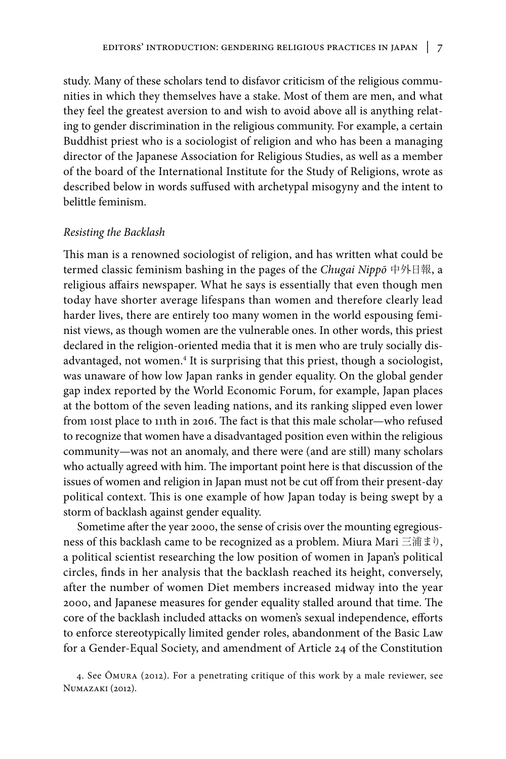study. Many of these scholars tend to disfavor criticism of the religious communities in which they themselves have a stake. Most of them are men, and what they feel the greatest aversion to and wish to avoid above all is anything relating to gender discrimination in the religious community. For example, a certain Buddhist priest who is a sociologist of religion and who has been a managing director of the Japanese Association for Religious Studies, as well as a member of the board of the International Institute for the Study of Religions, wrote as described below in words suffused with archetypal misogyny and the intent to belittle feminism.

#### *Resisting the Backlash*

This man is a renowned sociologist of religion, and has written what could be termed classic feminism bashing in the pages of the *Chugai Nippō* 中外日報, a religious affairs newspaper. What he says is essentially that even though men today have shorter average lifespans than women and therefore clearly lead harder lives, there are entirely too many women in the world espousing feminist views, as though women are the vulnerable ones. In other words, this priest declared in the religion-oriented media that it is men who are truly socially disadvantaged, not women.<sup>4</sup> It is surprising that this priest, though a sociologist, was unaware of how low Japan ranks in gender equality. On the global gender gap index reported by the World Economic Forum, for example, Japan places at the bottom of the seven leading nations, and its ranking slipped even lower from 101st place to 111th in 2016. The fact is that this male scholar—who refused to recognize that women have a disadvantaged position even within the religious community—was not an anomaly, and there were (and are still) many scholars who actually agreed with him. The important point here is that discussion of the issues of women and religion in Japan must not be cut off from their present-day political context. This is one example of how Japan today is being swept by a storm of backlash against gender equality.

Sometime after the year 2000, the sense of crisis over the mounting egregiousness of this backlash came to be recognized as a problem. Miura Mari 三浦まり, a political scientist researching the low position of women in Japan's political circles, finds in her analysis that the backlash reached its height, conversely, after the number of women Diet members increased midway into the year 2000, and Japanese measures for gender equality stalled around that time. The core of the backlash included attacks on women's sexual independence, efforts to enforce stereotypically limited gender roles, abandonment of the Basic Law for a Gender-Equal Society, and amendment of Article 24 of the Constitution

4. See Ōmura (2012). For a penetrating critique of this work by a male reviewer, see Numazaki (2012).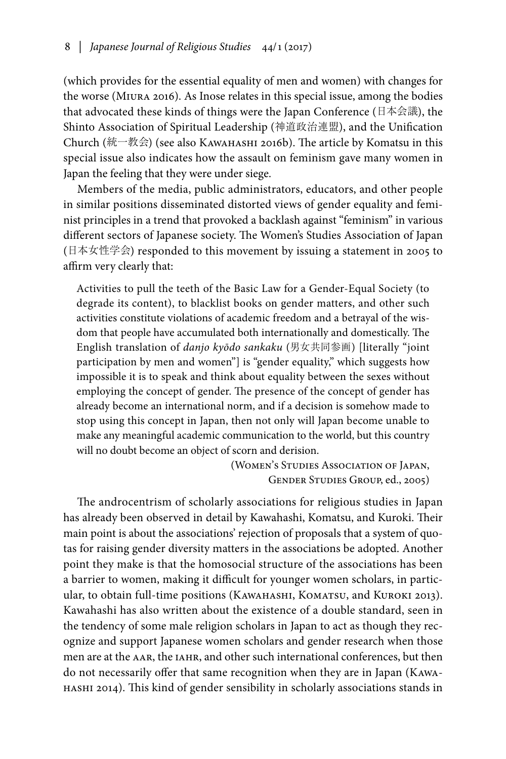(which provides for the essential equality of men and women) with changes for the worse (Miura 2016). As Inose relates in this special issue, among the bodies that advocated these kinds of things were the Japan Conference (日本会議), the Shinto Association of Spiritual Leadership (神道政治連盟), and the Unification Church (統一教会) (see also Kawahashi 2016b). The article by Komatsu in this special issue also indicates how the assault on feminism gave many women in Japan the feeling that they were under siege.

Members of the media, public administrators, educators, and other people in similar positions disseminated distorted views of gender equality and feminist principles in a trend that provoked a backlash against "feminism" in various different sectors of Japanese society. The Women's Studies Association of Japan (日本女性学会) responded to this movement by issuing a statement in 2005 to affirm very clearly that:

Activities to pull the teeth of the Basic Law for a Gender-Equal Society (to degrade its content), to blacklist books on gender matters, and other such activities constitute violations of academic freedom and a betrayal of the wisdom that people have accumulated both internationally and domestically. The English translation of *danjo kyōdo sankaku* (男女共同参画) [literally "joint participation by men and women"] is "gender equality," which suggests how impossible it is to speak and think about equality between the sexes without employing the concept of gender. The presence of the concept of gender has already become an international norm, and if a decision is somehow made to stop using this concept in Japan, then not only will Japan become unable to make any meaningful academic communication to the world, but this country will no doubt become an object of scorn and derision.

> (Women's Studies Association of Japan, Gender Studies Group, ed., 2005)

The androcentrism of scholarly associations for religious studies in Japan has already been observed in detail by Kawahashi, Komatsu, and Kuroki. Their main point is about the associations' rejection of proposals that a system of quotas for raising gender diversity matters in the associations be adopted. Another point they make is that the homosocial structure of the associations has been a barrier to women, making it difficult for younger women scholars, in particular, to obtain full-time positions (KAWAHASHI, KOMATSU, and KUROKI 2013). Kawahashi has also written about the existence of a double standard, seen in the tendency of some male religion scholars in Japan to act as though they recognize and support Japanese women scholars and gender research when those men are at the AAR, the IAHR, and other such international conferences, but then do not necessarily offer that same recognition when they are in Japan (Kawahashi 2014). This kind of gender sensibility in scholarly associations stands in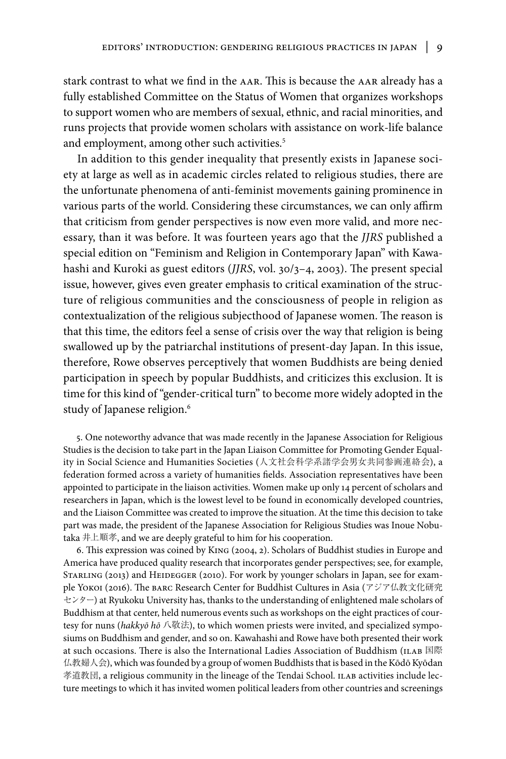stark contrast to what we find in the aar. This is because the aar already has a fully established Committee on the Status of Women that organizes workshops to support women who are members of sexual, ethnic, and racial minorities, and runs projects that provide women scholars with assistance on work-life balance and employment, among other such activities.<sup>5</sup>

In addition to this gender inequality that presently exists in Japanese society at large as well as in academic circles related to religious studies, there are the unfortunate phenomena of anti-feminist movements gaining prominence in various parts of the world. Considering these circumstances, we can only affirm that criticism from gender perspectives is now even more valid, and more necessary, than it was before. It was fourteen years ago that the *JJRS* published a special edition on "Feminism and Religion in Contemporary Japan" with Kawahashi and Kuroki as guest editors (*JJRS*, vol. 30/3–4, 2003). The present special issue, however, gives even greater emphasis to critical examination of the structure of religious communities and the consciousness of people in religion as contextualization of the religious subjecthood of Japanese women. The reason is that this time, the editors feel a sense of crisis over the way that religion is being swallowed up by the patriarchal institutions of present-day Japan. In this issue, therefore, Rowe observes perceptively that women Buddhists are being denied participation in speech by popular Buddhists, and criticizes this exclusion. It is time for this kind of "gender-critical turn" to become more widely adopted in the study of Japanese religion.<sup>6</sup>

5. One noteworthy advance that was made recently in the Japanese Association for Religious Studies is the decision to take part in the Japan Liaison Committee for Promoting Gender Equality in Social Science and Humanities Societies (人文社会科学系諸学会男女共同参画連絡会), a federation formed across a variety of humanities fields. Association representatives have been appointed to participate in the liaison activities. Women make up only 14 percent of scholars and researchers in Japan, which is the lowest level to be found in economically developed countries, and the Liaison Committee was created to improve the situation. At the time this decision to take part was made, the president of the Japanese Association for Religious Studies was Inoue Nobutaka 井上順孝, and we are deeply grateful to him for his cooperation.

6. This expression was coined by King (2004, 2). Scholars of Buddhist studies in Europe and America have produced quality research that incorporates gender perspectives; see, for example, STARLING (2013) and HEIDEGGER (2010). For work by younger scholars in Japan, see for example Yokoi (2016). The barc Research Center for Buddhist Cultures in Asia (アジア仏教文化研究 センター) at Ryukoku University has, thanks to the understanding of enlightened male scholars of Buddhism at that center, held numerous events such as workshops on the eight practices of courtesy for nuns (hakkyō hō 八敬法), to which women priests were invited, and specialized symposiums on Buddhism and gender, and so on. Kawahashi and Rowe have both presented their work at such occasions. There is also the International Ladies Association of Buddhism (ILAB 国際 仏教婦人会), which was founded by a group of women Buddhists that is based in the Kōdō Kyōdan 孝道教団, a religious community in the lineage of the Tendai School. ILAB activities include lecture meetings to which it has invited women political leaders from other countries and screenings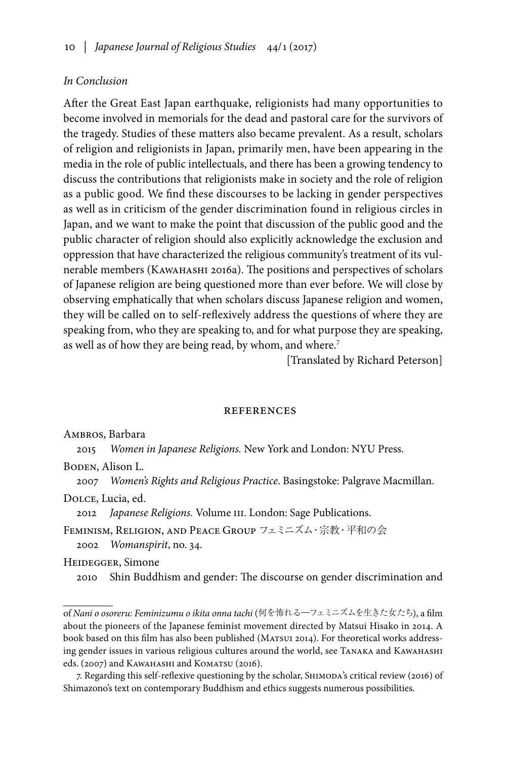## *In Conclusion*

After the Great East Japan earthquake, religionists had many opportunities to become involved in memorials for the dead and pastoral care for the survivors of the tragedy. Studies of these matters also became prevalent. As a result, scholars of religion and religionists in Japan, primarily men, have been appearing in the media in the role of public intellectuals, and there has been a growing tendency to discuss the contributions that religionists make in society and the role of religion as a public good. We find these discourses to be lacking in gender perspectives as well as in criticism of the gender discrimination found in religious circles in Japan, and we want to make the point that discussion of the public good and the public character of religion should also explicitly acknowledge the exclusion and oppression that have characterized the religious community's treatment of its vulnerable members (Kawahashi 2016a). The positions and perspectives of scholars of Japanese religion are being questioned more than ever before. We will close by observing emphatically that when scholars discuss Japanese religion and women, they will be called on to self-reflexively address the questions of where they are speaking from, who they are speaking to, and for what purpose they are speaking, as well as of how they are being read, by whom, and where. 7

[Translated by Richard Peterson]

#### references

Ambros, Barbara

2015 *Women in Japanese Religions.* New York and London: NYU Press.

BODEN, Alison L.

2007 *Women's Rights and Religious Practice*. Basingstoke: Palgrave Macmillan.

Dolce, Lucia, ed.

2012 *Japanese Religions.* Volume III. London: Sage Publications.

Feminism, Religion, and Peace Group フェミニズム・宗教・平和の会 2002 *Womanspirit*, no. 34.

Heidegger, Simone

2010 Shin Buddhism and gender: The discourse on gender discrimination and

of *Nani o osoreru: Feminizumu o ikita onna tachi* (何を怖れる―フェミニズムを生きた女たち), a film about the pioneers of the Japanese feminist movement directed by Matsui Hisako in 2014. A book based on this film has also been published (Matsui 2014). For theoretical works addressing gender issues in various religious cultures around the world, see Tanaka and Kawahashi eds. (2007) and Каwанаsнi and Komarsu (2016).

7. Regarding this self-reflexive questioning by the scholar, Shimoda's critical review (2016) of Shimazono's text on contemporary Buddhism and ethics suggests numerous possibilities.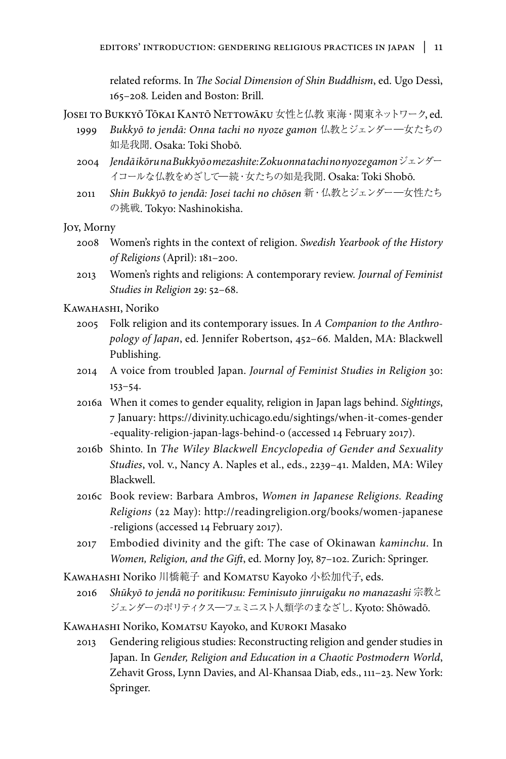related reforms. In *The Social Dimension of Shin Buddhism*, ed. Ugo Dessì, 165–208*.* Leiden and Boston: Brill.

JOSEI TO BUKKYŌ TŌKAI KANTŌ NETTOWĀKU 女性と仏教 東海·関東ネットワーク, ed.

- 1999 *Bukkyō to jendā: Onna tachi no nyoze gamon* 仏教とジェンダー―女たちの 如是我聞. Osaka: Toki Shobō.
- 2004 *Jendā ikōru na Bukkyō o mezashite: Zoku onna tachi no nyoze gamon*ジェンダー イコールな仏教をめざして―続・女たちの如是我聞. Osaka: Toki Shobō.
- 2011 *Shin Bukkyō to jendā: Josei tachi no chōsen* 新・仏教とジェンダー―女性たち の挑戦. Tokyo: Nashinokisha.

Joy, Morny

- 2008 Women's rights in the context of religion. *Swedish Yearbook of the History of Religions* (April): 181–200.
- 2013 Women's rights and religions: A contemporary review. *Journal of Feminist Studies in Religion* 29: 52–68.

Kawahashi, Noriko

- 2005 Folk religion and its contemporary issues. In *A Companion to the Anthropology of Japan*, ed. Jennifer Robertson, 452–66*.* Malden, MA: Blackwell Publishing.
- 2014 A voice from troubled Japan. *Journal of Feminist Studies in Religion* 30: 153–54.
- 2016a When it comes to gender equality, religion in Japan lags behind. *Sightings*, 7 January: https://divinity.uchicago.edu/sightings/when-it-comes-gender -equality-religion-japan-lags-behind-0 (accessed 14 February 2017).
- 2016b Shinto. In *The Wiley Blackwell Encyclopedia of Gender and Sexuality Studies*, vol. v., Nancy A. Naples et al., eds., 2239–41. Malden, MA: Wiley Blackwell.
- 2016c Book review: Barbara Ambros, *Women in Japanese Religions. Reading Religions* (22 May): http://readingreligion.org/books/women-japanese -religions (accessed 14 February 2017).
- 2017 Embodied divinity and the gift: The case of Okinawan *kaminchu*. In *Women, Religion, and the Gift*, ed. Morny Joy, 87–102. Zurich: Springer.
- KAWAHASHI Noriko 川橋範子 and KOMATSU Kayoko 小松加代子, eds.
	- 2016 *Shūkyō to jendā no poritikusu: Feminisuto jinruigaku no manazashi* 宗教と ジェンダーのポリティクス―フェミニスト人類学のまなざし. Kyoto: Shōwadō.

KAWAHASHI Noriko, KOMATSU Kayoko, and KUROKI Masako

2013 Gendering religious studies: Reconstructing religion and gender studies in Japan. In *Gender, Religion and Education in a Chaotic Postmodern World*, Zehavit Gross, Lynn Davies, and Al-Khansaa Diab, eds., 111–23. New York: Springer.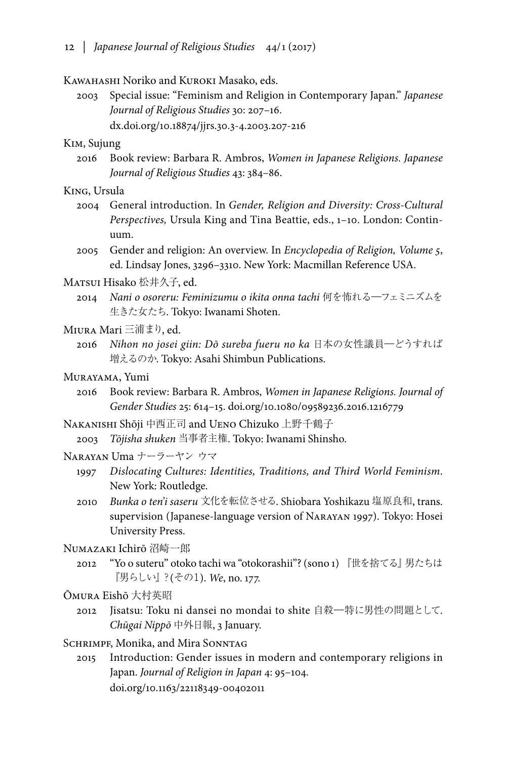#### Kawahashi Noriko and Kuroki Masako, eds.

2003 Special issue: "Feminism and Religion in Contemporary Japan." *Japanese Journal of Religious Studies* 30: 207–16. dx.doi.org/10.18874/jjrs.30.3-4.2003.207-216

#### Kim, Sujung

- 2016 Book review: Barbara R. Ambros, *Women in Japanese Religions. Japanese Journal of Religious Studies* 43: 384–86.
- King, Ursula
	- 2004 General introduction. In *Gender, Religion and Diversity: Cross-Cultural Perspectives,* Ursula King and Tina Beattie, eds., 1–10. London: Continuum.
	- 2005 Gender and religion: An overview. In *Encyclopedia of Religion, Volume 5*, ed. Lindsay Jones, 3296–3310. New York: Macmillan Reference USA.

#### Matsui Hisako 松井久子, ed.

- 2014 *Nani o osoreru: Feminizumu o ikita onna tachi* 何を怖れる―フェミニズムを 生きた女たち. Tokyo: Iwanami Shoten.
- Miura Mari 三浦まり, ed.
	- 2016 *Nihon no josei giin: Dō sureba fueru no ka* 日本の女性議員―どうすれば 増えるのか. Tokyo: Asahi Shimbun Publications.
- Murayama, Yumi
	- 2016 Book review: Barbara R. Ambros, *Women in Japanese Religions. Journal of Gender Studies* 25: 614–15. doi.org/10.1080/09589236.2016.1216779

Nakanishi Shōji 中西正司 and Ueno Chizuko 上野千鶴子

2003 *Tōjisha shuken* 当事者主権. Tokyo: Iwanami Shinsho.

#### Narayan Uma ナーラーヤン ウマ

- 1997 *Dislocating Cultures: Identities, Traditions, and Third World Feminism*. New York: Routledge.
- 2010 *Bunka o ten'i saseru* 文化を転位させる. Shiobara Yoshikazu 塩原良和, trans. supervision (Japanese-language version of Narayan 1997). Tokyo: Hosei University Press.

#### Numazaki Ichirō 沼崎一郎

2012 "Yo o suteru" otoko tachi wa "otokorashii"? (sono 1) 『世を捨てる』男たちは 『男らしい』?(その1). *We*, no. 177.

### Ōmura Eishō 大村英昭

2012 Jisatsu: Toku ni dansei no mondai to shite 自殺―特に男性の問題として. *Chūgai Nippō* 中外日報, 3 January.

#### SCHRIMPF, Monika, and Mira SONNTAG

2015 Introduction: Gender issues in modern and contemporary religions in Japan. *Journal of Religion in Japan* 4: 95–104. doi.org/10.1163/22118349-00402011